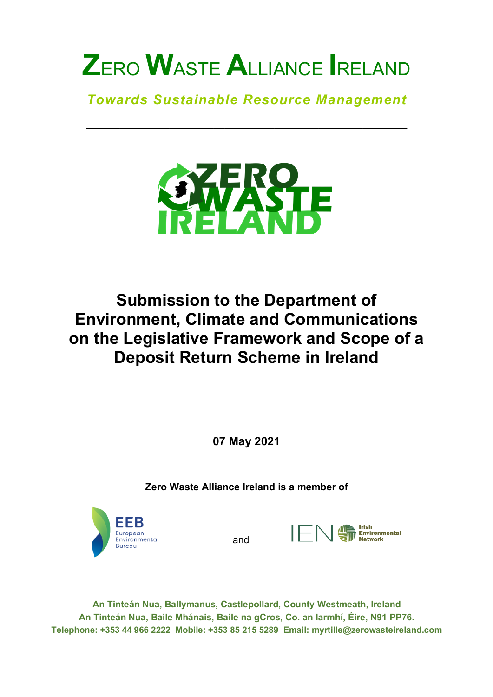*Towards Sustainable Resource Management*

\_\_\_\_\_\_\_\_\_\_\_\_\_\_\_\_\_\_\_\_\_\_\_\_\_\_\_\_\_\_\_\_\_\_\_\_\_\_\_\_\_\_\_\_\_\_\_\_\_\_\_\_\_\_\_\_\_\_



# **Submission to the Department of Environment, Climate and Communications on the Legislative Framework and Scope of a Deposit Return Scheme in Ireland**

**07 May 2021**

**Zero Waste Alliance Ireland is a member of**



and



**An Tinteán Nua, Ballymanus, Castlepollard, County Westmeath, Ireland An Tinteán Nua, Baile Mhánais, Baile na gCros, Co. an Iarmhí, Éire, N91 PP76. Telephone: +353 44 966 2222 Mobile: +353 85 215 5289 Email: myrtille@zerowasteireland.com**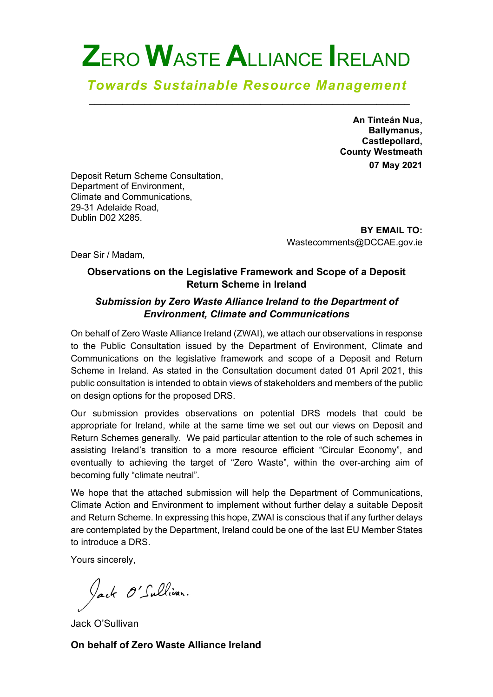#### *Towards Sustainable Resource Management* \_\_\_\_\_\_\_\_\_\_\_\_\_\_\_\_\_\_\_\_\_\_\_\_\_\_\_\_\_\_\_\_\_\_\_\_\_\_\_\_\_\_\_\_\_\_\_\_\_\_\_\_\_\_\_\_\_\_

**An Tinteán Nua, Ballymanus, Castlepollard, County Westmeath 07 May 2021**

Deposit Return Scheme Consultation, Department of Environment, Climate and Communications, 29-31 Adelaide Road, Dublin D02 X285.

> **BY EMAIL TO:**  Wastecomments@DCCAE.gov.ie

Dear Sir / Madam,

#### **Observations on the Legislative Framework and Scope of a Deposit Return Scheme in Ireland**

#### *Submission by Zero Waste Alliance Ireland to the Department of Environment, Climate and Communications*

On behalf of Zero Waste Alliance Ireland (ZWAI), we attach our observations in response to the Public Consultation issued by the Department of Environment, Climate and Communications on the legislative framework and scope of a Deposit and Return Scheme in Ireland. As stated in the Consultation document dated 01 April 2021, this public consultation is intended to obtain views of stakeholders and members of the public on design options for the proposed DRS.

Our submission provides observations on potential DRS models that could be appropriate for Ireland, while at the same time we set out our views on Deposit and Return Schemes generally. We paid particular attention to the role of such schemes in assisting Ireland's transition to a more resource efficient "Circular Economy", and eventually to achieving the target of "Zero Waste", within the over-arching aim of becoming fully "climate neutral".

We hope that the attached submission will help the Department of Communications, Climate Action and Environment to implement without further delay a suitable Deposit and Return Scheme. In expressing this hope, ZWAI is conscious that if any further delays are contemplated by the Department, Ireland could be one of the last EU Member States to introduce a DRS.

Yours sincerely,

Jack O'Sullivan.

Jack O'Sullivan

**On behalf of Zero Waste Alliance Ireland**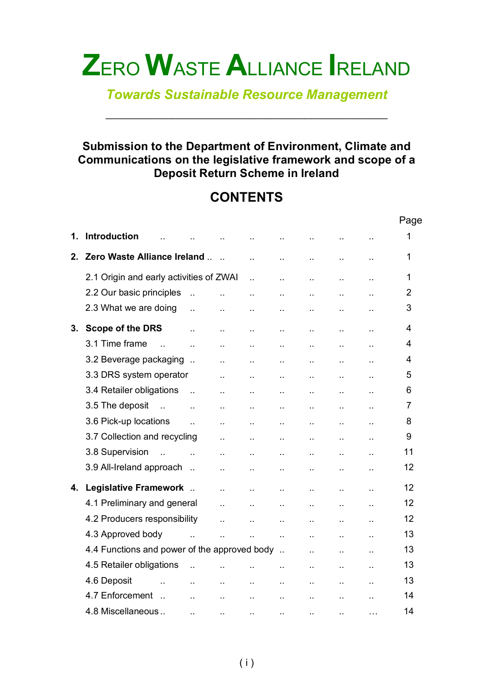*Towards Sustainable Resource Management*

\_\_\_\_\_\_\_\_\_\_\_\_\_\_\_\_\_\_\_\_\_\_\_\_\_\_\_\_\_\_\_\_\_\_\_\_\_\_\_\_\_\_\_\_\_\_\_\_\_\_\_

#### **Submission to the Department of Environment, Climate and Communications on the legislative framework and scope of a Deposit Return Scheme in Ireland**

# **CONTENTS**

|         |                                              |                      |                      |                      |                      |                      |                        |                      | Page           |
|---------|----------------------------------------------|----------------------|----------------------|----------------------|----------------------|----------------------|------------------------|----------------------|----------------|
| 1.      | <b>Introduction</b>                          |                      |                      |                      |                      |                      |                        |                      | 1              |
| $2_{-}$ | Zero Waste Alliance Ireland                  |                      | $\sim$               | ä.                   |                      | ä,                   | à.                     | $\ddot{\phantom{a}}$ | 1              |
|         | 2.1 Origin and early activities of ZWAI      |                      |                      | ä.                   |                      | ò.                   | à.                     | $\ddot{\phantom{a}}$ | 1              |
|         | 2.2 Our basic principles                     | $\ddot{\phantom{a}}$ | ä.                   | $\ddot{\phantom{a}}$ | $\ddot{\phantom{a}}$ | $\ddot{\phantom{1}}$ | $\ddot{\phantom{1}}$ . | $\ddot{\phantom{1}}$ | $\overline{2}$ |
|         | 2.3 What we are doing                        | ä.                   | $\ddotsc$            | $\ddot{\phantom{1}}$ | Ω,                   | $\ddot{\phantom{a}}$ | $\ddot{\phantom{a}}$   | $\ddot{\phantom{1}}$ | 3              |
| 3.      | <b>Scope of the DRS</b>                      | ä.                   | à.                   | ò.                   | ä,                   | $\ddot{\phantom{a}}$ | $\bar{\mathbf{r}}$ .   | $\ddot{\phantom{1}}$ | 4              |
|         | 3.1 Time frame<br>$\mathbf{L}$               | $\ddot{\phantom{a}}$ | à.                   | ä.                   | ä.                   | ä.                   | à.                     | $\ddot{\phantom{a}}$ | 4              |
|         | 3.2 Beverage packaging                       |                      | à.                   | ă.                   | ă.                   | $\bar{\mathbf{r}}$ . | à.                     | $\ddot{\phantom{1}}$ | $\overline{4}$ |
|         | 3.3 DRS system operator                      |                      | à.                   | ä.                   |                      | à.                   | $\ddot{\phantom{a}}$   |                      | 5              |
|         | 3.4 Retailer obligations                     | $\mathbf{r}$         | à.                   | ă.                   | ă.                   | $\bar{\mathbf{r}}$ . | $\bar{\mathbf{r}}$ .   | ò.                   | 6              |
|         | 3.5 The deposit<br>$\sim$ $\sim$             | $\ddot{\phantom{a}}$ | $\ddotsc$            | à.                   |                      | $\mathbf{r}$ .       | $\bar{\mathbf{r}}$ .   |                      | $\overline{7}$ |
|         | 3.6 Pick-up locations                        | $\ddot{\phantom{a}}$ | $\ddotsc$            | à.                   | $\ddot{\phantom{a}}$ | $\ddot{\phantom{1}}$ | $\ddot{\phantom{1}}$   | $\ddot{\phantom{a}}$ | 8              |
|         | 3.7 Collection and recycling                 |                      | ο.                   | ò.                   | $\ddotsc$            | $\ddot{\phantom{1}}$ | $\ddot{\phantom{1}}$   | $\ddot{\phantom{a}}$ | 9              |
|         | 3.8 Supervision<br>$\sim$                    |                      | ò.                   | ò.                   | ò.                   | $\ddotsc$            | à.                     | $\ddot{\phantom{1}}$ | 11             |
|         | 3.9 All-Ireland approach                     |                      | à.                   | ă.                   | ă.                   | $\ddot{\phantom{a}}$ | $\ddot{\phantom{1}}$   | ò.                   | 12             |
| 4.      | Legislative Framework                        |                      | à.                   | ă.                   | ă.                   | $\bar{\mathbf{r}}$ . | $\bar{\mathbf{r}}$ .   | $\ddot{\phantom{1}}$ | 12             |
|         | 4.1 Preliminary and general                  |                      | $\ddot{\phantom{a}}$ | ă.                   | ä.                   | $\mathbf{r}$ .       | à.                     | $\ddot{\phantom{a}}$ | 12             |
|         | 4.2 Producers responsibility                 |                      | $\ddot{\phantom{a}}$ | ä.                   | ä.                   | $\ddot{\phantom{a}}$ | à.                     | à.                   | 12             |
|         | 4.3 Approved body                            | $\ddot{\phantom{a}}$ | $\ddot{\phantom{a}}$ | ä.                   | $\ddot{\phantom{1}}$ | $\mathbf{r}$ .       | $\bar{\mathbf{r}}$ .   | $\ddot{\phantom{a}}$ | 13             |
|         | 4.4 Functions and power of the approved body |                      |                      |                      |                      | $\mathbf{r}$ .       | $\ddot{\phantom{1}}$ . | $\ddot{\phantom{1}}$ | 13             |
|         | 4.5 Retailer obligations                     | $\ddot{\phantom{a}}$ | à.                   | Ω.                   | Ω,                   | $\ddot{\phantom{1}}$ | $\ddot{\phantom{1}}$   | $\ddot{\phantom{1}}$ | 13             |
|         | 4.6 Deposit<br>$\ddot{\phantom{a}}$          | ò.                   | $\ddotsc$            | ò.                   | $\ddot{\phantom{a}}$ | $\ddotsc$            | $\epsilon$ .           | $\ddot{\phantom{1}}$ | 13             |
|         | 4.7 Enforcement<br>$\sim$                    | ä.                   | ò.                   | Ω.                   | $\ddot{\phantom{a}}$ | ă.                   | $\ddot{\phantom{1}}$   |                      | 14             |
|         | 4.8 Miscellaneous                            | Ω,                   | $\epsilon$ .         | Ω,                   | Ω,                   | Ω,                   | $\ddot{\phantom{a}}$   | $\cdots$             | 14             |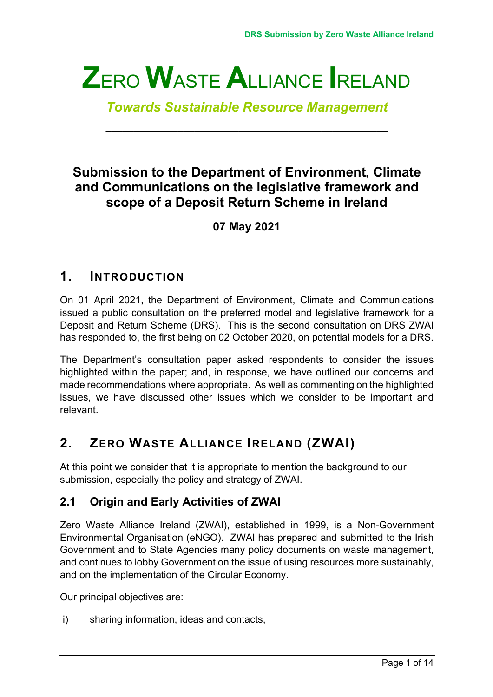*Towards Sustainable Resource Management*

\_\_\_\_\_\_\_\_\_\_\_\_\_\_\_\_\_\_\_\_\_\_\_\_\_\_\_\_\_\_\_\_\_\_\_\_\_\_\_\_\_\_\_\_\_\_\_\_\_\_\_

## **Submission to the Department of Environment, Climate and Communications on the legislative framework and scope of a Deposit Return Scheme in Ireland**

**07 May 2021**

### **1. INTRODUCTION**

On 01 April 2021, the Department of Environment, Climate and Communications issued a public consultation on the preferred model and legislative framework for a Deposit and Return Scheme (DRS). This is the second consultation on DRS ZWAI has responded to, the first being on 02 October 2020, on potential models for a DRS.

The Department's consultation paper asked respondents to consider the issues highlighted within the paper; and, in response, we have outlined our concerns and made recommendations where appropriate. As well as commenting on the highlighted issues, we have discussed other issues which we consider to be important and relevant.

# **2. ZERO WASTE ALLIANCE IRELAND (ZWAI)**

At this point we consider that it is appropriate to mention the background to our submission, especially the policy and strategy of ZWAI.

### **2.1 Origin and Early Activities of ZWAI**

Zero Waste Alliance Ireland (ZWAI), established in 1999, is a Non-Government Environmental Organisation (eNGO). ZWAI has prepared and submitted to the Irish Government and to State Agencies many policy documents on waste management, and continues to lobby Government on the issue of using resources more sustainably, and on the implementation of the Circular Economy.

Our principal objectives are:

i) sharing information, ideas and contacts,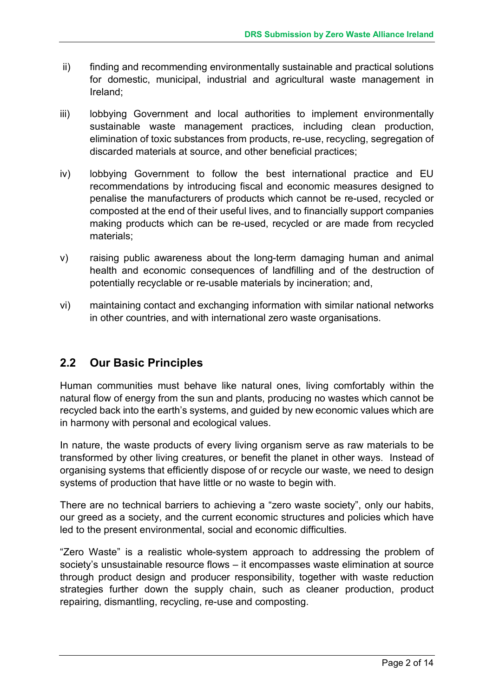- ii) finding and recommending environmentally sustainable and practical solutions for domestic, municipal, industrial and agricultural waste management in Ireland;
- iii) lobbying Government and local authorities to implement environmentally sustainable waste management practices, including clean production, elimination of toxic substances from products, re-use, recycling, segregation of discarded materials at source, and other beneficial practices;
- iv) lobbying Government to follow the best international practice and EU recommendations by introducing fiscal and economic measures designed to penalise the manufacturers of products which cannot be re-used, recycled or composted at the end of their useful lives, and to financially support companies making products which can be re-used, recycled or are made from recycled materials;
- v) raising public awareness about the long-term damaging human and animal health and economic consequences of landfilling and of the destruction of potentially recyclable or re-usable materials by incineration; and,
- vi) maintaining contact and exchanging information with similar national networks in other countries, and with international zero waste organisations.

#### **2.2 Our Basic Principles**

Human communities must behave like natural ones, living comfortably within the natural flow of energy from the sun and plants, producing no wastes which cannot be recycled back into the earth's systems, and guided by new economic values which are in harmony with personal and ecological values.

In nature, the waste products of every living organism serve as raw materials to be transformed by other living creatures, or benefit the planet in other ways. Instead of organising systems that efficiently dispose of or recycle our waste, we need to design systems of production that have little or no waste to begin with.

There are no technical barriers to achieving a "zero waste society", only our habits, our greed as a society, and the current economic structures and policies which have led to the present environmental, social and economic difficulties.

"Zero Waste" is a realistic whole-system approach to addressing the problem of society's unsustainable resource flows – it encompasses waste elimination at source through product design and producer responsibility, together with waste reduction strategies further down the supply chain, such as cleaner production, product repairing, dismantling, recycling, re-use and composting.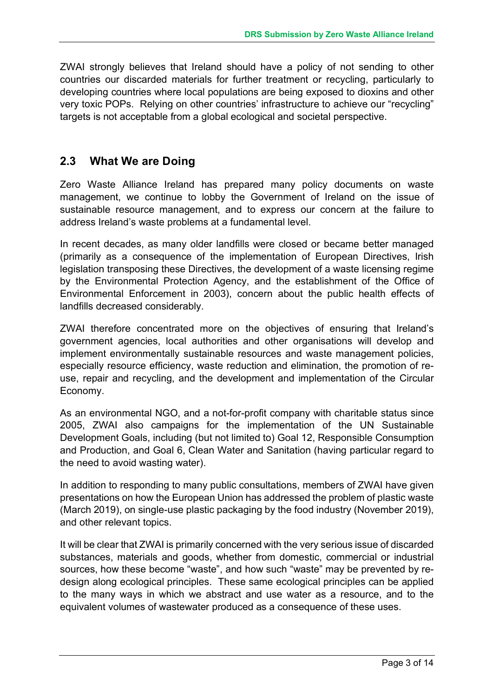ZWAI strongly believes that Ireland should have a policy of not sending to other countries our discarded materials for further treatment or recycling, particularly to developing countries where local populations are being exposed to dioxins and other very toxic POPs. Relying on other countries' infrastructure to achieve our "recycling" targets is not acceptable from a global ecological and societal perspective.

#### **2.3 What We are Doing**

Zero Waste Alliance Ireland has prepared many policy documents on waste management, we continue to lobby the Government of Ireland on the issue of sustainable resource management, and to express our concern at the failure to address Ireland's waste problems at a fundamental level.

In recent decades, as many older landfills were closed or became better managed (primarily as a consequence of the implementation of European Directives, Irish legislation transposing these Directives, the development of a waste licensing regime by the Environmental Protection Agency, and the establishment of the Office of Environmental Enforcement in 2003), concern about the public health effects of landfills decreased considerably.

ZWAI therefore concentrated more on the objectives of ensuring that Ireland's government agencies, local authorities and other organisations will develop and implement environmentally sustainable resources and waste management policies, especially resource efficiency, waste reduction and elimination, the promotion of reuse, repair and recycling, and the development and implementation of the Circular Economy.

As an environmental NGO, and a not-for-profit company with charitable status since 2005, ZWAI also campaigns for the implementation of the UN Sustainable Development Goals, including (but not limited to) Goal 12, Responsible Consumption and Production, and Goal 6, Clean Water and Sanitation (having particular regard to the need to avoid wasting water).

In addition to responding to many public consultations, members of ZWAI have given presentations on how the European Union has addressed the problem of plastic waste (March 2019), on single-use plastic packaging by the food industry (November 2019), and other relevant topics.

It will be clear that ZWAI is primarily concerned with the very serious issue of discarded substances, materials and goods, whether from domestic, commercial or industrial sources, how these become "waste", and how such "waste" may be prevented by redesign along ecological principles. These same ecological principles can be applied to the many ways in which we abstract and use water as a resource, and to the equivalent volumes of wastewater produced as a consequence of these uses.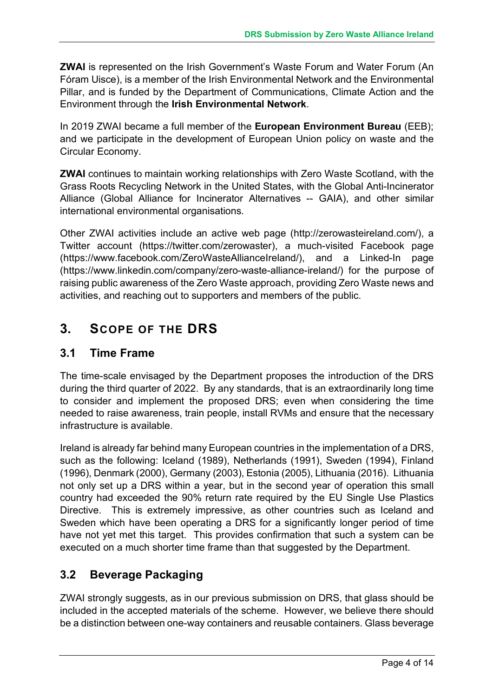**ZWAI** is represented on the Irish Government's Waste Forum and Water Forum (An Fóram Uisce), is a member of the Irish Environmental Network and the Environmental Pillar, and is funded by the Department of Communications, Climate Action and the Environment through the **Irish Environmental Network**.

In 2019 ZWAI became a full member of the **European Environment Bureau** (EEB); and we participate in the development of European Union policy on waste and the Circular Economy.

**ZWAI** continues to maintain working relationships with Zero Waste Scotland, with the Grass Roots Recycling Network in the United States, with the Global Anti-Incinerator Alliance (Global Alliance for Incinerator Alternatives -- GAIA), and other similar international environmental organisations.

Other ZWAI activities include an active web page (http://zerowasteireland.com/), a Twitter account (https://twitter.com/zerowaster), a much-visited Facebook page (https://www.facebook.com/ZeroWasteAllianceIreland/), and a Linked-In page (https://www.linkedin.com/company/zero-waste-alliance-ireland/) for the purpose of raising public awareness of the Zero Waste approach, providing Zero Waste news and activities, and reaching out to supporters and members of the public.

## **3. SCOPE OF THE DRS**

#### **3.1 Time Frame**

The time-scale envisaged by the Department proposes the introduction of the DRS during the third quarter of 2022. By any standards, that is an extraordinarily long time to consider and implement the proposed DRS; even when considering the time needed to raise awareness, train people, install RVMs and ensure that the necessary infrastructure is available.

Ireland is already far behind many European countries in the implementation of a DRS, such as the following: Iceland (1989), Netherlands (1991), Sweden (1994), Finland (1996), Denmark (2000), Germany (2003), Estonia (2005), Lithuania (2016). Lithuania not only set up a DRS within a year, but in the second year of operation this small country had exceeded the 90% return rate required by the EU Single Use Plastics Directive. This is extremely impressive, as other countries such as Iceland and Sweden which have been operating a DRS for a significantly longer period of time have not yet met this target. This provides confirmation that such a system can be executed on a much shorter time frame than that suggested by the Department.

#### **3.2 Beverage Packaging**

ZWAI strongly suggests, as in our previous submission on DRS, that glass should be included in the accepted materials of the scheme. However, we believe there should be a distinction between one-way containers and reusable containers. Glass beverage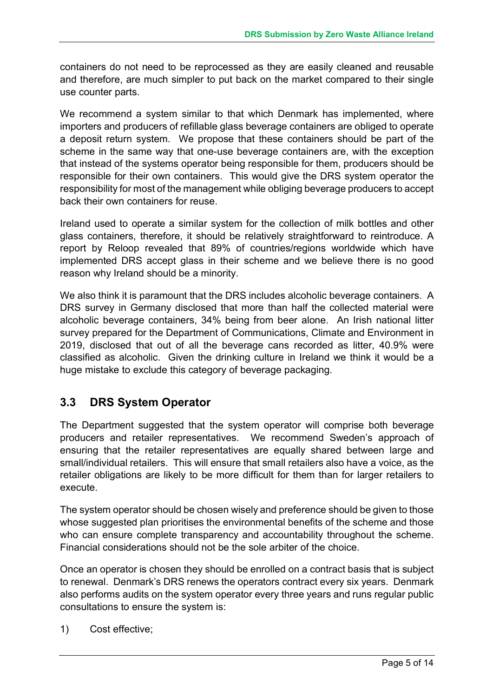containers do not need to be reprocessed as they are easily cleaned and reusable and therefore, are much simpler to put back on the market compared to their single use counter parts.

We recommend a system similar to that which Denmark has implemented, where importers and producers of refillable glass beverage containers are obliged to operate a deposit return system. We propose that these containers should be part of the scheme in the same way that one-use beverage containers are, with the exception that instead of the systems operator being responsible for them, producers should be responsible for their own containers. This would give the DRS system operator the responsibility for most of the management while obliging beverage producers to accept back their own containers for reuse.

Ireland used to operate a similar system for the collection of milk bottles and other glass containers, therefore, it should be relatively straightforward to reintroduce. A report by Reloop revealed that 89% of countries/regions worldwide which have implemented DRS accept glass in their scheme and we believe there is no good reason why Ireland should be a minority.

We also think it is paramount that the DRS includes alcoholic beverage containers. A DRS survey in Germany disclosed that more than half the collected material were alcoholic beverage containers, 34% being from beer alone. An Irish national litter survey prepared for the Department of Communications, Climate and Environment in 2019, disclosed that out of all the beverage cans recorded as litter, 40.9% were classified as alcoholic. Given the drinking culture in Ireland we think it would be a huge mistake to exclude this category of beverage packaging.

#### **3.3 DRS System Operator**

The Department suggested that the system operator will comprise both beverage producers and retailer representatives. We recommend Sweden's approach of ensuring that the retailer representatives are equally shared between large and small/individual retailers. This will ensure that small retailers also have a voice, as the retailer obligations are likely to be more difficult for them than for larger retailers to execute.

The system operator should be chosen wisely and preference should be given to those whose suggested plan prioritises the environmental benefits of the scheme and those who can ensure complete transparency and accountability throughout the scheme. Financial considerations should not be the sole arbiter of the choice.

Once an operator is chosen they should be enrolled on a contract basis that is subject to renewal. Denmark's DRS renews the operators contract every six years. Denmark also performs audits on the system operator every three years and runs regular public consultations to ensure the system is:

1) Cost effective;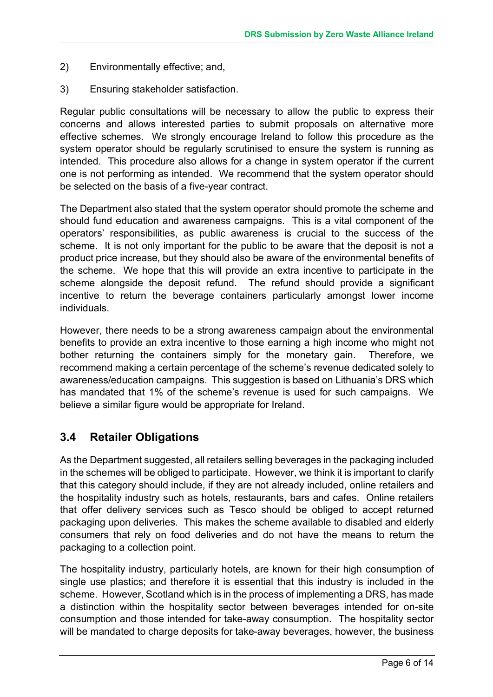- 2) Environmentally effective; and,
- 3) Ensuring stakeholder satisfaction.

Regular public consultations will be necessary to allow the public to express their concerns and allows interested parties to submit proposals on alternative more effective schemes. We strongly encourage Ireland to follow this procedure as the system operator should be regularly scrutinised to ensure the system is running as intended. This procedure also allows for a change in system operator if the current one is not performing as intended. We recommend that the system operator should be selected on the basis of a five-year contract.

The Department also stated that the system operator should promote the scheme and should fund education and awareness campaigns. This is a vital component of the operators' responsibilities, as public awareness is crucial to the success of the scheme. It is not only important for the public to be aware that the deposit is not a product price increase, but they should also be aware of the environmental benefits of the scheme. We hope that this will provide an extra incentive to participate in the scheme alongside the deposit refund. The refund should provide a significant incentive to return the beverage containers particularly amongst lower income individuals.

However, there needs to be a strong awareness campaign about the environmental benefits to provide an extra incentive to those earning a high income who might not bother returning the containers simply for the monetary gain. Therefore, we recommend making a certain percentage of the scheme's revenue dedicated solely to awareness/education campaigns. This suggestion is based on Lithuania's DRS which has mandated that 1% of the scheme's revenue is used for such campaigns. We believe a similar figure would be appropriate for Ireland.

#### **3.4 Retailer Obligations**

As the Department suggested, all retailers selling beverages in the packaging included in the schemes will be obliged to participate. However, we think it is important to clarify that this category should include, if they are not already included, online retailers and the hospitality industry such as hotels, restaurants, bars and cafes. Online retailers that offer delivery services such as Tesco should be obliged to accept returned packaging upon deliveries. This makes the scheme available to disabled and elderly consumers that rely on food deliveries and do not have the means to return the packaging to a collection point.

The hospitality industry, particularly hotels, are known for their high consumption of single use plastics; and therefore it is essential that this industry is included in the scheme. However, Scotland which is in the process of implementing a DRS, has made a distinction within the hospitality sector between beverages intended for on-site consumption and those intended for take-away consumption. The hospitality sector will be mandated to charge deposits for take-away beverages, however, the business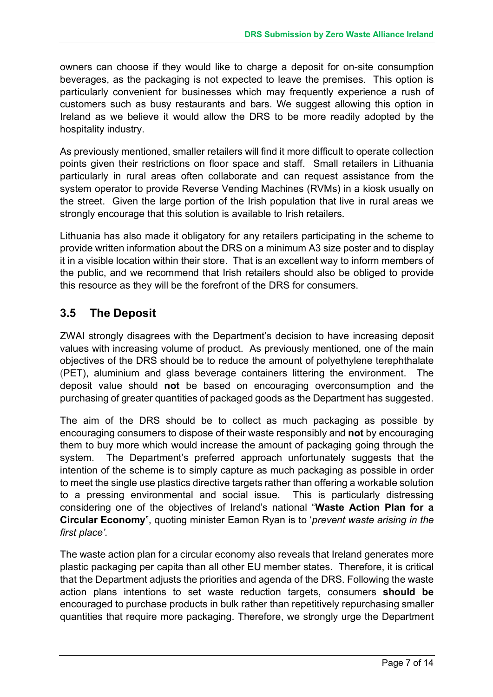owners can choose if they would like to charge a deposit for on-site consumption beverages, as the packaging is not expected to leave the premises. This option is particularly convenient for businesses which may frequently experience a rush of customers such as busy restaurants and bars. We suggest allowing this option in Ireland as we believe it would allow the DRS to be more readily adopted by the hospitality industry.

As previously mentioned, smaller retailers will find it more difficult to operate collection points given their restrictions on floor space and staff. Small retailers in Lithuania particularly in rural areas often collaborate and can request assistance from the system operator to provide Reverse Vending Machines (RVMs) in a kiosk usually on the street. Given the large portion of the Irish population that live in rural areas we strongly encourage that this solution is available to Irish retailers.

Lithuania has also made it obligatory for any retailers participating in the scheme to provide written information about the DRS on a minimum A3 size poster and to display it in a visible location within their store. That is an excellent way to inform members of the public, and we recommend that Irish retailers should also be obliged to provide this resource as they will be the forefront of the DRS for consumers.

#### **3.5 The Deposit**

ZWAI strongly disagrees with the Department's decision to have increasing deposit values with increasing volume of product. As previously mentioned, one of the main objectives of the DRS should be to reduce the amount of polyethylene terephthalate (PET), aluminium and glass beverage containers littering the environment. The deposit value should **not** be based on encouraging overconsumption and the purchasing of greater quantities of packaged goods as the Department has suggested.

The aim of the DRS should be to collect as much packaging as possible by encouraging consumers to dispose of their waste responsibly and **not** by encouraging them to buy more which would increase the amount of packaging going through the system. The Department's preferred approach unfortunately suggests that the intention of the scheme is to simply capture as much packaging as possible in order to meet the single use plastics directive targets rather than offering a workable solution to a pressing environmental and social issue. This is particularly distressing considering one of the objectives of Ireland's national "**Waste Action Plan for a Circular Economy**", quoting minister Eamon Ryan is to '*prevent waste arising in the first place'.* 

The waste action plan for a circular economy also reveals that Ireland generates more plastic packaging per capita than all other EU member states. Therefore, it is critical that the Department adjusts the priorities and agenda of the DRS. Following the waste action plans intentions to set waste reduction targets, consumers **should be** encouraged to purchase products in bulk rather than repetitively repurchasing smaller quantities that require more packaging. Therefore, we strongly urge the Department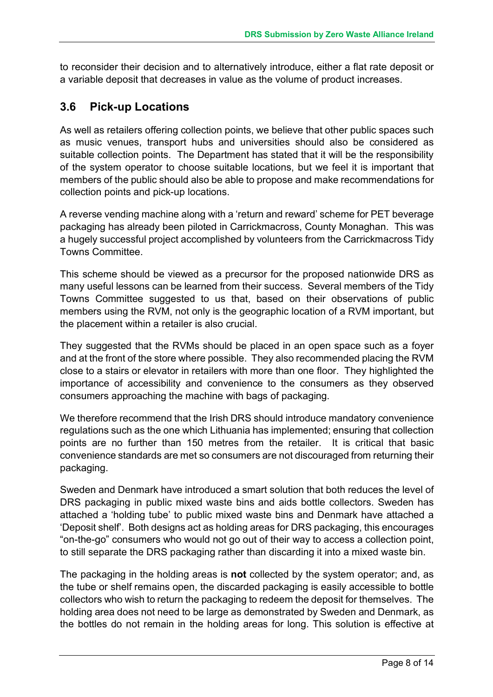to reconsider their decision and to alternatively introduce, either a flat rate deposit or a variable deposit that decreases in value as the volume of product increases.

#### **3.6 Pick-up Locations**

As well as retailers offering collection points, we believe that other public spaces such as music venues, transport hubs and universities should also be considered as suitable collection points. The Department has stated that it will be the responsibility of the system operator to choose suitable locations, but we feel it is important that members of the public should also be able to propose and make recommendations for collection points and pick-up locations.

A reverse vending machine along with a 'return and reward' scheme for PET beverage packaging has already been piloted in Carrickmacross, County Monaghan. This was a hugely successful project accomplished by volunteers from the Carrickmacross Tidy Towns Committee.

This scheme should be viewed as a precursor for the proposed nationwide DRS as many useful lessons can be learned from their success. Several members of the Tidy Towns Committee suggested to us that, based on their observations of public members using the RVM, not only is the geographic location of a RVM important, but the placement within a retailer is also crucial.

They suggested that the RVMs should be placed in an open space such as a foyer and at the front of the store where possible. They also recommended placing the RVM close to a stairs or elevator in retailers with more than one floor. They highlighted the importance of accessibility and convenience to the consumers as they observed consumers approaching the machine with bags of packaging.

We therefore recommend that the Irish DRS should introduce mandatory convenience regulations such as the one which Lithuania has implemented; ensuring that collection points are no further than 150 metres from the retailer. It is critical that basic convenience standards are met so consumers are not discouraged from returning their packaging.

Sweden and Denmark have introduced a smart solution that both reduces the level of DRS packaging in public mixed waste bins and aids bottle collectors. Sweden has attached a 'holding tube' to public mixed waste bins and Denmark have attached a 'Deposit shelf'. Both designs act as holding areas for DRS packaging, this encourages "on-the-go" consumers who would not go out of their way to access a collection point, to still separate the DRS packaging rather than discarding it into a mixed waste bin.

The packaging in the holding areas is **not** collected by the system operator; and, as the tube or shelf remains open, the discarded packaging is easily accessible to bottle collectors who wish to return the packaging to redeem the deposit for themselves. The holding area does not need to be large as demonstrated by Sweden and Denmark, as the bottles do not remain in the holding areas for long. This solution is effective at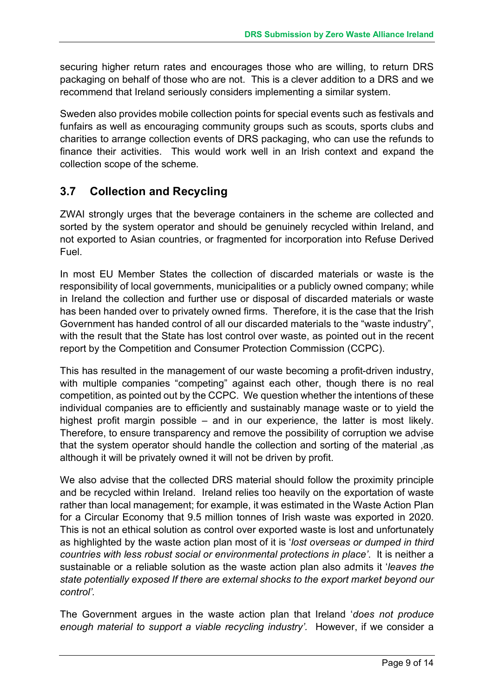securing higher return rates and encourages those who are willing, to return DRS packaging on behalf of those who are not. This is a clever addition to a DRS and we recommend that Ireland seriously considers implementing a similar system.

Sweden also provides mobile collection points for special events such as festivals and funfairs as well as encouraging community groups such as scouts, sports clubs and charities to arrange collection events of DRS packaging, who can use the refunds to finance their activities. This would work well in an Irish context and expand the collection scope of the scheme.

#### **3.7 Collection and Recycling**

ZWAI strongly urges that the beverage containers in the scheme are collected and sorted by the system operator and should be genuinely recycled within Ireland, and not exported to Asian countries, or fragmented for incorporation into Refuse Derived Fuel.

In most EU Member States the collection of discarded materials or waste is the responsibility of local governments, municipalities or a publicly owned company; while in Ireland the collection and further use or disposal of discarded materials or waste has been handed over to privately owned firms. Therefore, it is the case that the Irish Government has handed control of all our discarded materials to the "waste industry", with the result that the State has lost control over waste, as pointed out in the recent report by the Competition and Consumer Protection Commission (CCPC).

This has resulted in the management of our waste becoming a profit-driven industry, with multiple companies "competing" against each other, though there is no real competition, as pointed out by the CCPC. We question whether the intentions of these individual companies are to efficiently and sustainably manage waste or to yield the highest profit margin possible – and in our experience, the latter is most likely. Therefore, to ensure transparency and remove the possibility of corruption we advise that the system operator should handle the collection and sorting of the material ,as although it will be privately owned it will not be driven by profit.

We also advise that the collected DRS material should follow the proximity principle and be recycled within Ireland. Ireland relies too heavily on the exportation of waste rather than local management; for example, it was estimated in the Waste Action Plan for a Circular Economy that 9.5 million tonnes of Irish waste was exported in 2020. This is not an ethical solution as control over exported waste is lost and unfortunately as highlighted by the waste action plan most of it is '*lost overseas or dumped in third countries with less robust social or environmental protections in place'*. It is neither a sustainable or a reliable solution as the waste action plan also admits it '*leaves the state potentially exposed If there are external shocks to the export market beyond our control'.*

The Government argues in the waste action plan that Ireland '*does not produce enough material to support a viable recycling industry'.* However, if we consider a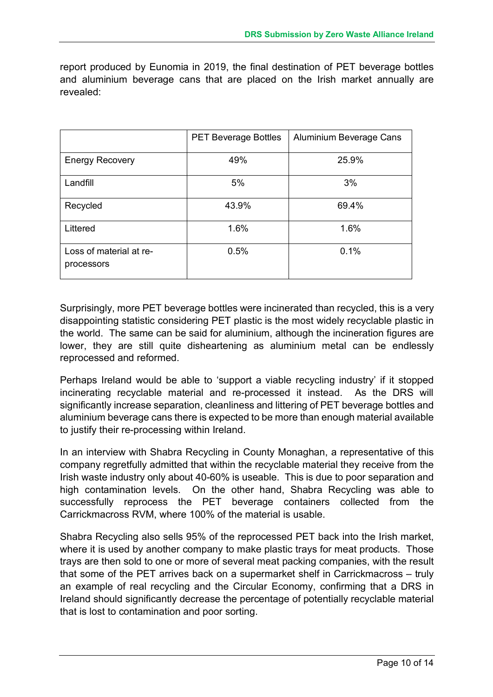report produced by Eunomia in 2019, the final destination of PET beverage bottles and aluminium beverage cans that are placed on the Irish market annually are revealed:

|                                       | <b>PET Beverage Bottles</b> | Aluminium Beverage Cans |  |  |
|---------------------------------------|-----------------------------|-------------------------|--|--|
| <b>Energy Recovery</b>                | 49%                         | 25.9%                   |  |  |
| Landfill                              | 5%                          | 3%                      |  |  |
| Recycled                              | 43.9%                       | 69.4%                   |  |  |
| Littered                              | 1.6%                        | 1.6%                    |  |  |
| Loss of material at re-<br>processors | 0.5%                        | 0.1%                    |  |  |

Surprisingly, more PET beverage bottles were incinerated than recycled, this is a very disappointing statistic considering PET plastic is the most widely recyclable plastic in the world. The same can be said for aluminium, although the incineration figures are lower, they are still quite disheartening as aluminium metal can be endlessly reprocessed and reformed.

Perhaps Ireland would be able to 'support a viable recycling industry' if it stopped incinerating recyclable material and re-processed it instead. As the DRS will significantly increase separation, cleanliness and littering of PET beverage bottles and aluminium beverage cans there is expected to be more than enough material available to justify their re-processing within Ireland.

In an interview with Shabra Recycling in County Monaghan, a representative of this company regretfully admitted that within the recyclable material they receive from the Irish waste industry only about 40-60% is useable. This is due to poor separation and high contamination levels. On the other hand, Shabra Recycling was able to successfully reprocess the PET beverage containers collected from the Carrickmacross RVM, where 100% of the material is usable.

Shabra Recycling also sells 95% of the reprocessed PET back into the Irish market, where it is used by another company to make plastic trays for meat products. Those trays are then sold to one or more of several meat packing companies, with the result that some of the PET arrives back on a supermarket shelf in Carrickmacross – truly an example of real recycling and the Circular Economy, confirming that a DRS in Ireland should significantly decrease the percentage of potentially recyclable material that is lost to contamination and poor sorting.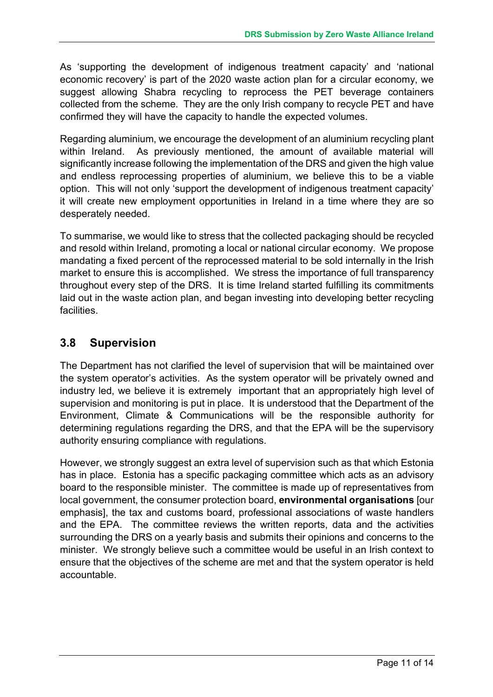As 'supporting the development of indigenous treatment capacity' and 'national economic recovery' is part of the 2020 waste action plan for a circular economy, we suggest allowing Shabra recycling to reprocess the PET beverage containers collected from the scheme. They are the only Irish company to recycle PET and have confirmed they will have the capacity to handle the expected volumes.

Regarding aluminium, we encourage the development of an aluminium recycling plant within Ireland. As previously mentioned, the amount of available material will significantly increase following the implementation of the DRS and given the high value and endless reprocessing properties of aluminium, we believe this to be a viable option. This will not only 'support the development of indigenous treatment capacity' it will create new employment opportunities in Ireland in a time where they are so desperately needed.

To summarise, we would like to stress that the collected packaging should be recycled and resold within Ireland, promoting a local or national circular economy. We propose mandating a fixed percent of the reprocessed material to be sold internally in the Irish market to ensure this is accomplished. We stress the importance of full transparency throughout every step of the DRS. It is time Ireland started fulfilling its commitments laid out in the waste action plan, and began investing into developing better recycling facilities.

#### **3.8 Supervision**

The Department has not clarified the level of supervision that will be maintained over the system operator's activities. As the system operator will be privately owned and industry led, we believe it is extremely important that an appropriately high level of supervision and monitoring is put in place. It is understood that the Department of the Environment, Climate & Communications will be the responsible authority for determining regulations regarding the DRS, and that the EPA will be the supervisory authority ensuring compliance with regulations.

However, we strongly suggest an extra level of supervision such as that which Estonia has in place. Estonia has a specific packaging committee which acts as an advisory board to the responsible minister. The committee is made up of representatives from local government, the consumer protection board, **environmental organisations** [our emphasis], the tax and customs board, professional associations of waste handlers and the EPA. The committee reviews the written reports, data and the activities surrounding the DRS on a yearly basis and submits their opinions and concerns to the minister. We strongly believe such a committee would be useful in an Irish context to ensure that the objectives of the scheme are met and that the system operator is held accountable.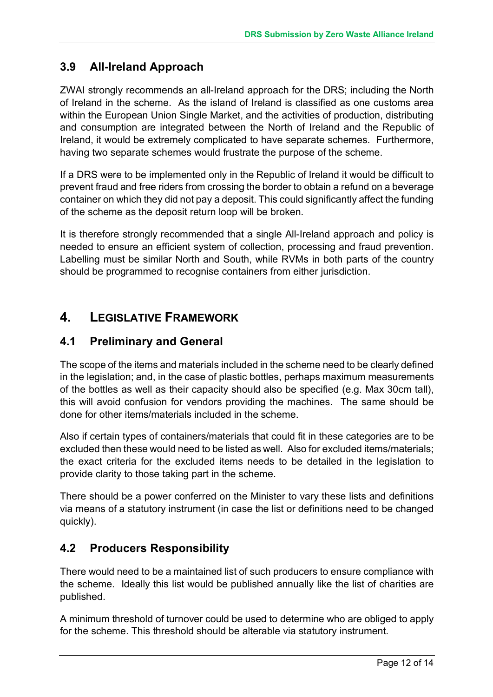#### **3.9 All-Ireland Approach**

ZWAI strongly recommends an all-Ireland approach for the DRS; including the North of Ireland in the scheme. As the island of Ireland is classified as one customs area within the European Union Single Market, and the activities of production, distributing and consumption are integrated between the North of Ireland and the Republic of Ireland, it would be extremely complicated to have separate schemes. Furthermore, having two separate schemes would frustrate the purpose of the scheme.

If a DRS were to be implemented only in the Republic of Ireland it would be difficult to prevent fraud and free riders from crossing the border to obtain a refund on a beverage container on which they did not pay a deposit. This could significantly affect the funding of the scheme as the deposit return loop will be broken.

It is therefore strongly recommended that a single All-Ireland approach and policy is needed to ensure an efficient system of collection, processing and fraud prevention. Labelling must be similar North and South, while RVMs in both parts of the country should be programmed to recognise containers from either jurisdiction.

### **4. LEGISLATIVE FRAMEWORK**

#### **4.1 Preliminary and General**

The scope of the items and materials included in the scheme need to be clearly defined in the legislation; and, in the case of plastic bottles, perhaps maximum measurements of the bottles as well as their capacity should also be specified (e.g. Max 30cm tall), this will avoid confusion for vendors providing the machines. The same should be done for other items/materials included in the scheme.

Also if certain types of containers/materials that could fit in these categories are to be excluded then these would need to be listed as well. Also for excluded items/materials; the exact criteria for the excluded items needs to be detailed in the legislation to provide clarity to those taking part in the scheme.

There should be a power conferred on the Minister to vary these lists and definitions via means of a statutory instrument (in case the list or definitions need to be changed quickly).

#### **4.2 Producers Responsibility**

There would need to be a maintained list of such producers to ensure compliance with the scheme. Ideally this list would be published annually like the list of charities are published.

A minimum threshold of turnover could be used to determine who are obliged to apply for the scheme. This threshold should be alterable via statutory instrument.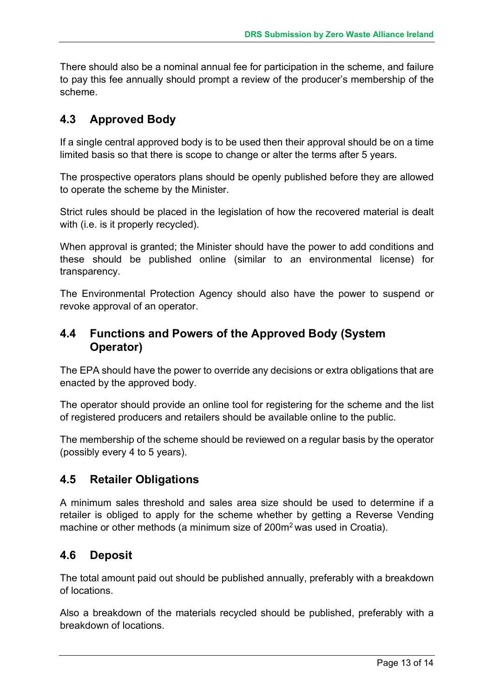There should also be a nominal annual fee for participation in the scheme, and failure to pay this fee annually should prompt a review of the producer's membership of the scheme.

#### **4.3 Approved Body**

If a single central approved body is to be used then their approval should be on a time limited basis so that there is scope to change or alter the terms after 5 years.

The prospective operators plans should be openly published before they are allowed to operate the scheme by the Minister.

Strict rules should be placed in the legislation of how the recovered material is dealt with (i.e. is it properly recycled).

When approval is granted; the Minister should have the power to add conditions and these should be published online (similar to an environmental license) for transparency.

The Environmental Protection Agency should also have the power to suspend or revoke approval of an operator.

#### **4.4 Functions and Powers of the Approved Body (System Operator)**

The EPA should have the power to override any decisions or extra obligations that are enacted by the approved body.

The operator should provide an online tool for registering for the scheme and the list of registered producers and retailers should be available online to the public.

The membership of the scheme should be reviewed on a regular basis by the operator (possibly every 4 to 5 years).

#### **4.5 Retailer Obligations**

A minimum sales threshold and sales area size should be used to determine if a retailer is obliged to apply for the scheme whether by getting a Reverse Vending machine or other methods (a minimum size of 200m<sup>2</sup> was used in Croatia).

#### **4.6 Deposit**

The total amount paid out should be published annually, preferably with a breakdown of locations.

Also a breakdown of the materials recycled should be published, preferably with a breakdown of locations.